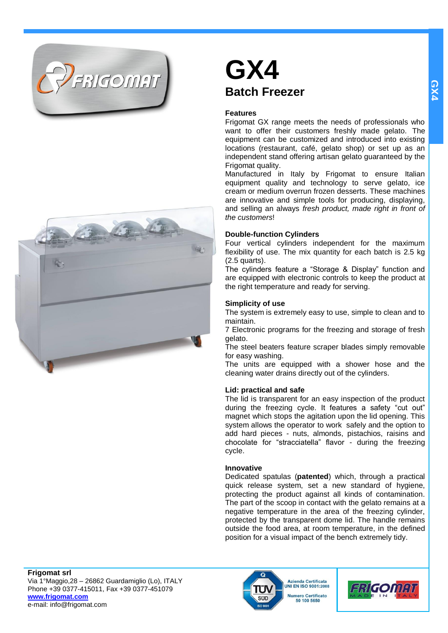



## **GX4 Batch Freezer**

#### **Features**

Frigomat GX range meets the needs of professionals who want to offer their customers freshly made gelato. The equipment can be customized and introduced into existing locations (restaurant, café, gelato shop) or set up as an independent stand offering artisan gelato guaranteed by the Frigomat quality.

Manufactured in Italy by Frigomat to ensure Italian equipment quality and technology to serve gelato, ice cream or medium overrun frozen desserts. These machines are innovative and simple tools for producing, displaying, and selling an always *fresh product, made right in front of the customers*!

#### **Double-function Cylinders**

Four vertical cylinders independent for the maximum flexibility of use. The mix quantity for each batch is 2.5 kg (2.5 quarts).

The cylinders feature a "Storage & Display" function and are equipped with electronic controls to keep the product at the right temperature and ready for serving.

#### **Simplicity of use**

The system is extremely easy to use, simple to clean and to maintain.

7 Electronic programs for the freezing and storage of fresh gelato.

The steel beaters feature scraper blades simply removable for easy washing.

The units are equipped with a shower hose and the cleaning water drains directly out of the cylinders.

#### **Lid: practical and safe**

The lid is transparent for an easy inspection of the product during the freezing cycle. It features a safety "cut out" magnet which stops the agitation upon the lid opening. This system allows the operator to work safely and the option to add hard pieces - nuts, almonds, pistachios, raisins and chocolate for "stracciatella" flavor - during the freezing cycle.

#### **Innovative**

Dedicated spatulas (**patented**) which, through a practical quick release system, set a new standard of hygiene, protecting the product against all kinds of contamination. The part of the scoop in contact with the gelato remains at a negative temperature in the area of the freezing cylinder, protected by the transparent dome lid. The handle remains outside the food area, at room temperature, in the defined position for a visual impact of the bench extremely tidy.

**Frigomat srl** Via 1°Maggio,28 – 26862 Guardamiglio (Lo), ITALY Phone +39 0377-415011, Fax +39 0377-451079 **[www.frigomat.com](http://www.frigomat.com/)** e-mail: info@frigomat.com



**Azienda Certificata JNI EN ISO 9001:2008 Numero Certificato** 50 100 5650